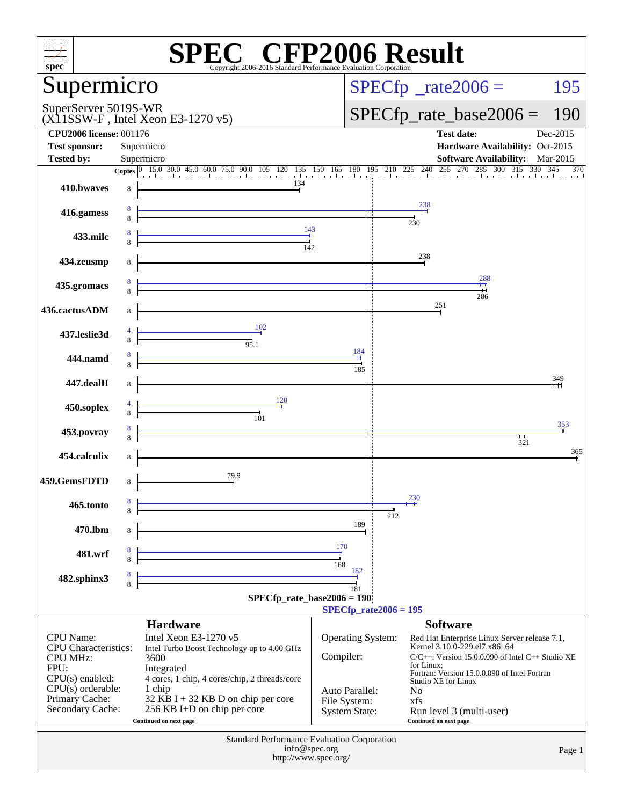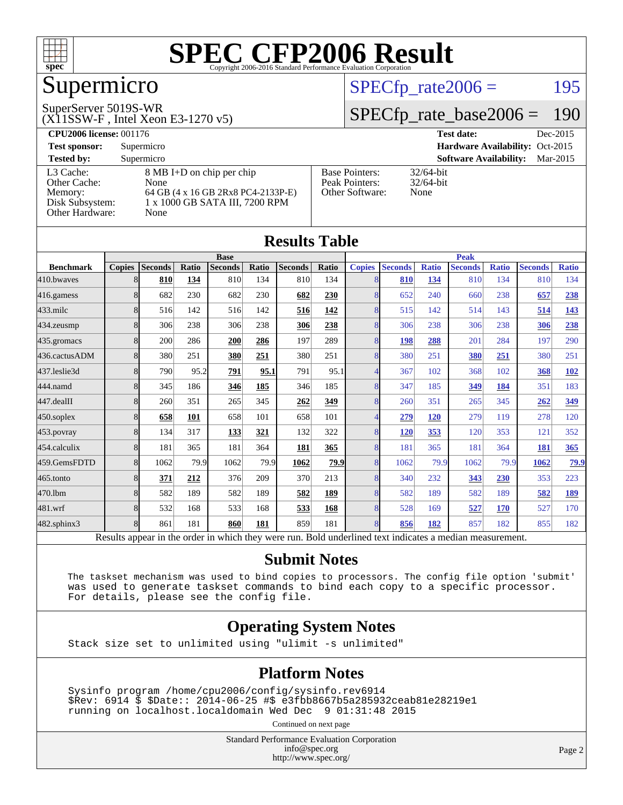

# Supermicro

#### SuperServer 5019S-WR

(X11SSW-F , Intel Xeon E3-1270 v5)

#### $SPECTp_rate2006 = 195$

#### [SPECfp\\_rate\\_base2006 =](http://www.spec.org/auto/cpu2006/Docs/result-fields.html#SPECfpratebase2006) 190

| <b>CPU2006 license: 001176</b> |                                    |                                 | Dec-2015<br><b>Test date:</b>             |  |  |  |
|--------------------------------|------------------------------------|---------------------------------|-------------------------------------------|--|--|--|
| <b>Test sponsor:</b>           | Supermicro                         | Hardware Availability: Oct-2015 |                                           |  |  |  |
| <b>Tested by:</b>              | Supermicro                         |                                 | <b>Software Availability:</b><br>Mar-2015 |  |  |  |
| L3 Cache:                      | 8 MB I+D on chip per chip          | <b>Base Pointers:</b>           | $32/64$ -bit                              |  |  |  |
| Other Cache:                   | None                               | Peak Pointers:                  | $32/64$ -bit                              |  |  |  |
| Memory:                        | 64 GB (4 x 16 GB 2Rx8 PC4-2133P-E) | Other Software:                 | None                                      |  |  |  |
| Disk Subsystem:                | 1 x 1000 GB SATA III, 7200 RPM     |                                 |                                           |  |  |  |
| Other Hardware:                | None                               |                                 |                                           |  |  |  |

| <b>Results Table</b>                                                                                     |               |                |       |                |       |                |             |               |                |              |                |              |                |              |
|----------------------------------------------------------------------------------------------------------|---------------|----------------|-------|----------------|-------|----------------|-------------|---------------|----------------|--------------|----------------|--------------|----------------|--------------|
|                                                                                                          | <b>Base</b>   |                |       | <b>Peak</b>    |       |                |             |               |                |              |                |              |                |              |
| <b>Benchmark</b>                                                                                         | <b>Copies</b> | <b>Seconds</b> | Ratio | <b>Seconds</b> | Ratio | <b>Seconds</b> | Ratio       | <b>Copies</b> | <b>Seconds</b> | <b>Ratio</b> | <b>Seconds</b> | <b>Ratio</b> | <b>Seconds</b> | <b>Ratio</b> |
| 410.bwayes                                                                                               | 8             | 810            | 134   | 810            | 134   | 810            | 134         | 8             | 810            | 134          | 810            | 134          | 810            | 134          |
| 416.gamess                                                                                               | 8             | 682            | 230   | 682            | 230   | 682            | 230         | 8             | 652            | 240          | 660            | 238          | 657            | 238          |
| $433$ .milc                                                                                              | 8             | 516            | 142   | 516            | 142   | 516            | 142         | 8             | 515            | 142          | 514            | 143          | 514            | <u>143</u>   |
| 434.zeusmp                                                                                               | 8             | 306            | 238   | 306            | 238   | 306            | 238         | 8             | 306            | 238          | 306            | 238          | 306            | 238          |
| 435.gromacs                                                                                              | 8             | 200            | 286   | 200            | 286   | 197            | 289         | 8             | 198            | 288          | 201            | 284          | 197            | 290          |
| 436.cactusADM                                                                                            | 8             | 380            | 251   | 380            | 251   | 380            | 251         | 8             | 380            | 251          | 380            | 251          | 380            | 251          |
| 437.leslie3d                                                                                             | 8             | 790            | 95.2  | 791            | 95.1  | 791            | 95.1        | 4             | 367            | 102          | 368            | 102          | 368            | <u>102</u>   |
| 444.namd                                                                                                 | 8             | 345            | 186   | 346            | 185   | 346            | 185         | 8             | 347            | 185          | 349            | 184          | 351            | 183          |
| 447.dealII                                                                                               | 8             | 260            | 351   | 265            | 345   | 262            | 349         | 8             | 260            | 351          | 265            | 345          | 262            | 349          |
| $450$ .soplex                                                                                            | 8             | 658            | 101   | 658            | 101   | 658            | 101         | 4             | 279            | 120          | 279            | 119          | 278            | 120          |
| 453.povray                                                                                               | 8             | 134            | 317   | 133            | 321   | 132            | 322         | 8             | 120            | 353          | 120            | 353          | 121            | 352          |
| 454.calculix                                                                                             | 8             | 181            | 365   | 181            | 364   | 181            | 365         | 8             | 181            | 365          | 181            | 364          | 181            | 365          |
| 459.GemsFDTD                                                                                             | 8             | 1062           | 79.9  | 1062           | 79.9  | 1062           | <u>79.9</u> | 8             | 1062           | 79.9         | 1062           | 79.9         | 1062           | <u>79.9</u>  |
| $465$ .tonto                                                                                             | 8             | 371            | 212   | 376            | 209   | 370            | 213         | 8             | 340            | 232          | 343            | 230          | 353            | 223          |
| 470.1bm                                                                                                  | 8             | 582            | 189   | 582            | 189   | 582            | 189         | 8             | 582            | 189          | 582            | 189          | 582            | <u>189</u>   |
| 481.wrf                                                                                                  | 8             | 532            | 168   | 533            | 168   | 533            | 168         | 8             | 528            | 169          | 527            | <b>170</b>   | 527            | 170          |
| $482$ .sphinx $3$                                                                                        | 8             | 861            | 181   | 860            | 181   | 859            | 181         | 8             | 856            | 182          | 857            | 182          | 855            | 182          |
| Results appear in the order in which they were run. Bold underlined text indicates a median measurement. |               |                |       |                |       |                |             |               |                |              |                |              |                |              |

#### **[Submit Notes](http://www.spec.org/auto/cpu2006/Docs/result-fields.html#SubmitNotes)**

 The taskset mechanism was used to bind copies to processors. The config file option 'submit' was used to generate taskset commands to bind each copy to a specific processor. For details, please see the config file.

#### **[Operating System Notes](http://www.spec.org/auto/cpu2006/Docs/result-fields.html#OperatingSystemNotes)**

Stack size set to unlimited using "ulimit -s unlimited"

#### **[Platform Notes](http://www.spec.org/auto/cpu2006/Docs/result-fields.html#PlatformNotes)**

 Sysinfo program /home/cpu2006/config/sysinfo.rev6914 \$Rev: 6914 \$ \$Date:: 2014-06-25 #\$ e3fbb8667b5a285932ceab81e28219e1 running on localhost.localdomain Wed Dec 9 01:31:48 2015

Continued on next page

Standard Performance Evaluation Corporation [info@spec.org](mailto:info@spec.org) <http://www.spec.org/>

Page 2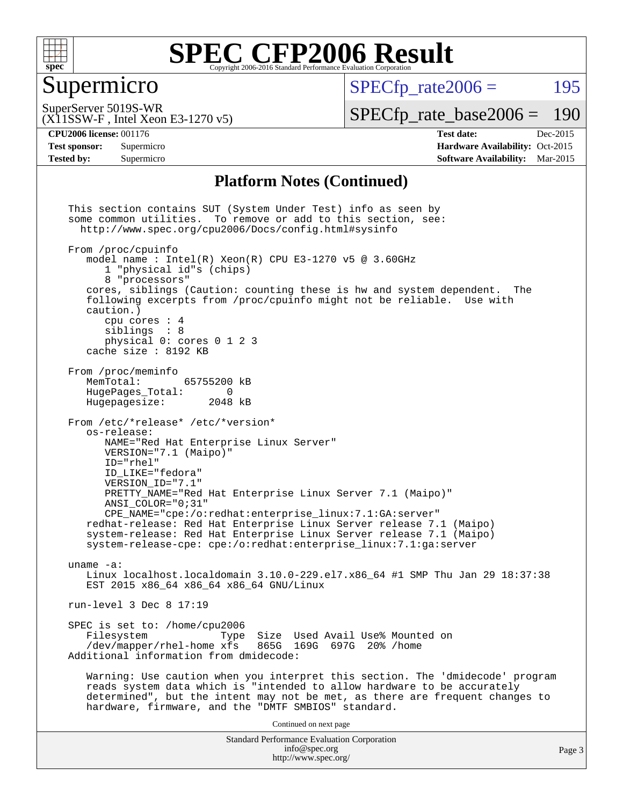

### Supermicro

 $SPECTp\_rate2006 = 195$ 

SuperServer 5019S-WR

(X11SSW-F , Intel Xeon E3-1270 v5)

[SPECfp\\_rate\\_base2006 =](http://www.spec.org/auto/cpu2006/Docs/result-fields.html#SPECfpratebase2006) 190

**[CPU2006 license:](http://www.spec.org/auto/cpu2006/Docs/result-fields.html#CPU2006license)** 001176 **[Test date:](http://www.spec.org/auto/cpu2006/Docs/result-fields.html#Testdate)** Dec-2015 **[Test sponsor:](http://www.spec.org/auto/cpu2006/Docs/result-fields.html#Testsponsor)** Supermicro Supermicro **[Hardware Availability:](http://www.spec.org/auto/cpu2006/Docs/result-fields.html#HardwareAvailability)** Oct-2015 **[Tested by:](http://www.spec.org/auto/cpu2006/Docs/result-fields.html#Testedby)** Supermicro **Supermicro [Software Availability:](http://www.spec.org/auto/cpu2006/Docs/result-fields.html#SoftwareAvailability)** Mar-2015

#### **[Platform Notes \(Continued\)](http://www.spec.org/auto/cpu2006/Docs/result-fields.html#PlatformNotes)**

Standard Performance Evaluation Corporation [info@spec.org](mailto:info@spec.org) <http://www.spec.org/> This section contains SUT (System Under Test) info as seen by some common utilities. To remove or add to this section, see: <http://www.spec.org/cpu2006/Docs/config.html#sysinfo> From /proc/cpuinfo model name : Intel $(R)$  Xeon $(R)$  CPU E3-1270 v5 @ 3.60GHz 1 "physical id"s (chips) 8 "processors" cores, siblings (Caution: counting these is hw and system dependent. The following excerpts from /proc/cpuinfo might not be reliable. Use with caution.) cpu cores : 4 siblings : 8 physical 0: cores 0 1 2 3 cache size : 8192 KB From /proc/meminfo MemTotal: 65755200 kB<br>HugePages Total: 0 HugePages\_Total: 0<br>Hugepagesize: 2048 kB Hugepagesize: From /etc/\*release\* /etc/\*version\* os-release: NAME="Red Hat Enterprise Linux Server" VERSION="7.1 (Maipo)" ID="rhel" ID\_LIKE="fedora" VERSION\_ID="7.1" PRETTY\_NAME="Red Hat Enterprise Linux Server 7.1 (Maipo)" ANSI\_COLOR="0;31" CPE\_NAME="cpe:/o:redhat:enterprise\_linux:7.1:GA:server" redhat-release: Red Hat Enterprise Linux Server release 7.1 (Maipo) system-release: Red Hat Enterprise Linux Server release 7.1 (Maipo) system-release-cpe: cpe:/o:redhat:enterprise\_linux:7.1:ga:server uname -a: Linux localhost.localdomain 3.10.0-229.el7.x86\_64 #1 SMP Thu Jan 29 18:37:38 EST 2015 x86\_64 x86\_64 x86\_64 GNU/Linux run-level 3 Dec 8 17:19 SPEC is set to: /home/cpu2006<br>Filesystem Type Type Size Used Avail Use% Mounted on /dev/mapper/rhel-home xfs 865G 169G 697G 20% /home Additional information from dmidecode: Warning: Use caution when you interpret this section. The 'dmidecode' program reads system data which is "intended to allow hardware to be accurately determined", but the intent may not be met, as there are frequent changes to hardware, firmware, and the "DMTF SMBIOS" standard. Continued on next page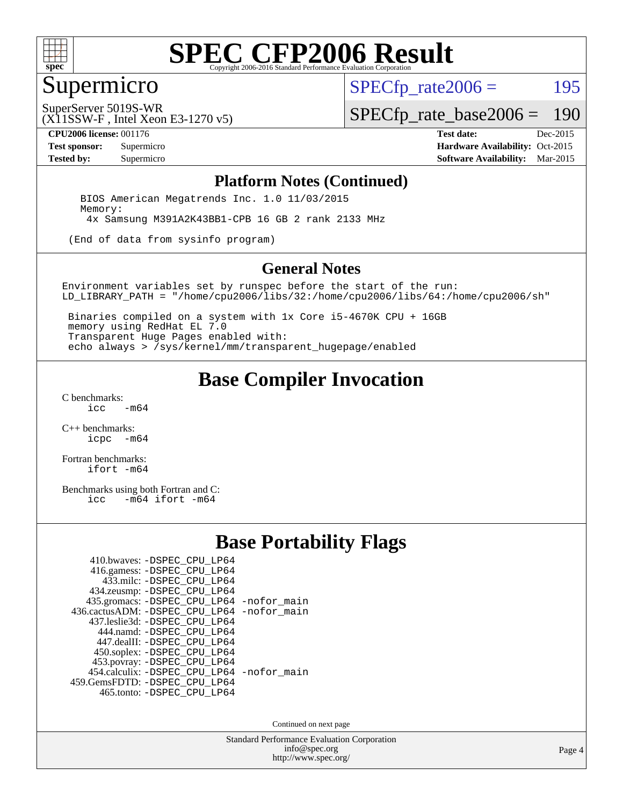

### Supermicro

 $SPECTp\_rate2006 = 195$ 

(X11SSW-F , Intel Xeon E3-1270 v5) SuperServer 5019S-WR

[SPECfp\\_rate\\_base2006 =](http://www.spec.org/auto/cpu2006/Docs/result-fields.html#SPECfpratebase2006) 190

**[CPU2006 license:](http://www.spec.org/auto/cpu2006/Docs/result-fields.html#CPU2006license)** 001176 **[Test date:](http://www.spec.org/auto/cpu2006/Docs/result-fields.html#Testdate)** Dec-2015

**[Test sponsor:](http://www.spec.org/auto/cpu2006/Docs/result-fields.html#Testsponsor)** Supermicro Supermicro **[Hardware Availability:](http://www.spec.org/auto/cpu2006/Docs/result-fields.html#HardwareAvailability)** Oct-2015 **[Tested by:](http://www.spec.org/auto/cpu2006/Docs/result-fields.html#Testedby)** Supermicro **Supermicro [Software Availability:](http://www.spec.org/auto/cpu2006/Docs/result-fields.html#SoftwareAvailability)** Mar-2015

#### **[Platform Notes \(Continued\)](http://www.spec.org/auto/cpu2006/Docs/result-fields.html#PlatformNotes)**

 BIOS American Megatrends Inc. 1.0 11/03/2015 Memory: 4x Samsung M391A2K43BB1-CPB 16 GB 2 rank 2133 MHz

(End of data from sysinfo program)

#### **[General Notes](http://www.spec.org/auto/cpu2006/Docs/result-fields.html#GeneralNotes)**

Environment variables set by runspec before the start of the run: LD\_LIBRARY\_PATH = "/home/cpu2006/libs/32:/home/cpu2006/libs/64:/home/cpu2006/sh"

 Binaries compiled on a system with 1x Core i5-4670K CPU + 16GB memory using RedHat EL 7.0 Transparent Huge Pages enabled with: echo always > /sys/kernel/mm/transparent\_hugepage/enabled

### **[Base Compiler Invocation](http://www.spec.org/auto/cpu2006/Docs/result-fields.html#BaseCompilerInvocation)**

[C benchmarks](http://www.spec.org/auto/cpu2006/Docs/result-fields.html#Cbenchmarks):  $-m64$ 

[C++ benchmarks:](http://www.spec.org/auto/cpu2006/Docs/result-fields.html#CXXbenchmarks) [icpc -m64](http://www.spec.org/cpu2006/results/res2016q1/cpu2006-20160125-38781.flags.html#user_CXXbase_intel_icpc_64bit_bedb90c1146cab66620883ef4f41a67e)

[Fortran benchmarks](http://www.spec.org/auto/cpu2006/Docs/result-fields.html#Fortranbenchmarks): [ifort -m64](http://www.spec.org/cpu2006/results/res2016q1/cpu2006-20160125-38781.flags.html#user_FCbase_intel_ifort_64bit_ee9d0fb25645d0210d97eb0527dcc06e)

[Benchmarks using both Fortran and C](http://www.spec.org/auto/cpu2006/Docs/result-fields.html#BenchmarksusingbothFortranandC):<br>icc -m64 ifort -m64  $-m64$  ifort  $-m64$ 

#### **[Base Portability Flags](http://www.spec.org/auto/cpu2006/Docs/result-fields.html#BasePortabilityFlags)**

| 410.bwaves: -DSPEC CPU LP64                 |  |
|---------------------------------------------|--|
| 416.gamess: -DSPEC_CPU_LP64                 |  |
| 433.milc: -DSPEC CPU LP64                   |  |
| 434.zeusmp: -DSPEC_CPU_LP64                 |  |
| 435.gromacs: -DSPEC_CPU_LP64 -nofor_main    |  |
| 436.cactusADM: -DSPEC CPU LP64 -nofor main  |  |
| 437.leslie3d: -DSPEC CPU LP64               |  |
| 444.namd: - DSPEC_CPU_LP64                  |  |
| 447.dealII: -DSPEC_CPU LP64                 |  |
| 450.soplex: -DSPEC_CPU_LP64                 |  |
| 453.povray: -DSPEC_CPU_LP64                 |  |
| 454.calculix: - DSPEC CPU LP64 - nofor main |  |
| 459.GemsFDTD: -DSPEC_CPU_LP64               |  |
| 465.tonto: -DSPEC_CPU_LP64                  |  |

Continued on next page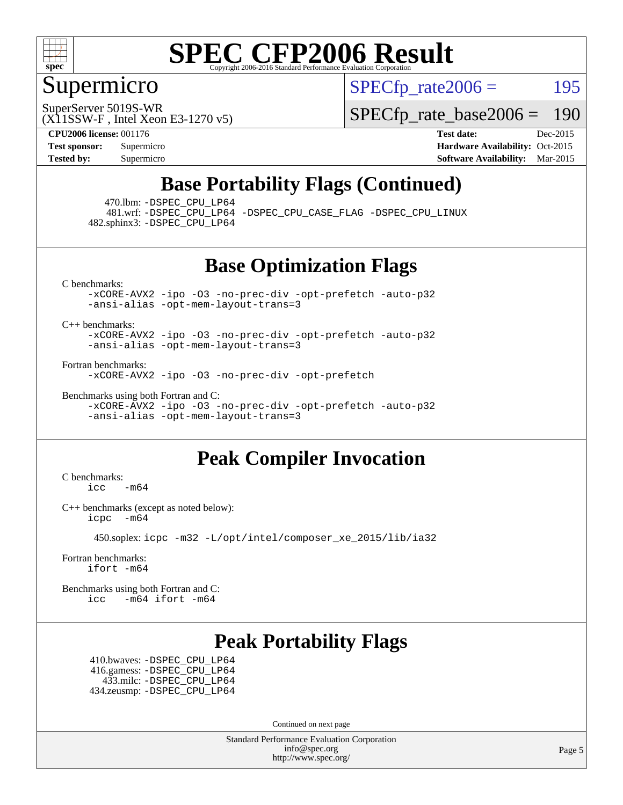

### Supermicro

 $SPECTp\_rate2006 = 195$ 

(X11SSW-F , Intel Xeon E3-1270 v5) SuperServer 5019S-WR

[SPECfp\\_rate\\_base2006 =](http://www.spec.org/auto/cpu2006/Docs/result-fields.html#SPECfpratebase2006) 190

**[CPU2006 license:](http://www.spec.org/auto/cpu2006/Docs/result-fields.html#CPU2006license)** 001176 **[Test date:](http://www.spec.org/auto/cpu2006/Docs/result-fields.html#Testdate)** Dec-2015

**[Test sponsor:](http://www.spec.org/auto/cpu2006/Docs/result-fields.html#Testsponsor)** Supermicro Supermicro **[Hardware Availability:](http://www.spec.org/auto/cpu2006/Docs/result-fields.html#HardwareAvailability)** Oct-2015 **[Tested by:](http://www.spec.org/auto/cpu2006/Docs/result-fields.html#Testedby)** Supermicro **[Software Availability:](http://www.spec.org/auto/cpu2006/Docs/result-fields.html#SoftwareAvailability)** Mar-2015

## **[Base Portability Flags \(Continued\)](http://www.spec.org/auto/cpu2006/Docs/result-fields.html#BasePortabilityFlags)**

470.lbm: [-DSPEC\\_CPU\\_LP64](http://www.spec.org/cpu2006/results/res2016q1/cpu2006-20160125-38781.flags.html#suite_basePORTABILITY470_lbm_DSPEC_CPU_LP64)

 481.wrf: [-DSPEC\\_CPU\\_LP64](http://www.spec.org/cpu2006/results/res2016q1/cpu2006-20160125-38781.flags.html#suite_basePORTABILITY481_wrf_DSPEC_CPU_LP64) [-DSPEC\\_CPU\\_CASE\\_FLAG](http://www.spec.org/cpu2006/results/res2016q1/cpu2006-20160125-38781.flags.html#b481.wrf_baseCPORTABILITY_DSPEC_CPU_CASE_FLAG) [-DSPEC\\_CPU\\_LINUX](http://www.spec.org/cpu2006/results/res2016q1/cpu2006-20160125-38781.flags.html#b481.wrf_baseCPORTABILITY_DSPEC_CPU_LINUX) 482.sphinx3: [-DSPEC\\_CPU\\_LP64](http://www.spec.org/cpu2006/results/res2016q1/cpu2006-20160125-38781.flags.html#suite_basePORTABILITY482_sphinx3_DSPEC_CPU_LP64)

**[Base Optimization Flags](http://www.spec.org/auto/cpu2006/Docs/result-fields.html#BaseOptimizationFlags)**

[C benchmarks](http://www.spec.org/auto/cpu2006/Docs/result-fields.html#Cbenchmarks):

[-xCORE-AVX2](http://www.spec.org/cpu2006/results/res2016q1/cpu2006-20160125-38781.flags.html#user_CCbase_f-xAVX2_5f5fc0cbe2c9f62c816d3e45806c70d7) [-ipo](http://www.spec.org/cpu2006/results/res2016q1/cpu2006-20160125-38781.flags.html#user_CCbase_f-ipo) [-O3](http://www.spec.org/cpu2006/results/res2016q1/cpu2006-20160125-38781.flags.html#user_CCbase_f-O3) [-no-prec-div](http://www.spec.org/cpu2006/results/res2016q1/cpu2006-20160125-38781.flags.html#user_CCbase_f-no-prec-div) [-opt-prefetch](http://www.spec.org/cpu2006/results/res2016q1/cpu2006-20160125-38781.flags.html#user_CCbase_f-opt-prefetch) [-auto-p32](http://www.spec.org/cpu2006/results/res2016q1/cpu2006-20160125-38781.flags.html#user_CCbase_f-auto-p32) [-ansi-alias](http://www.spec.org/cpu2006/results/res2016q1/cpu2006-20160125-38781.flags.html#user_CCbase_f-ansi-alias) [-opt-mem-layout-trans=3](http://www.spec.org/cpu2006/results/res2016q1/cpu2006-20160125-38781.flags.html#user_CCbase_f-opt-mem-layout-trans_a7b82ad4bd7abf52556d4961a2ae94d5)

[C++ benchmarks:](http://www.spec.org/auto/cpu2006/Docs/result-fields.html#CXXbenchmarks)

[-xCORE-AVX2](http://www.spec.org/cpu2006/results/res2016q1/cpu2006-20160125-38781.flags.html#user_CXXbase_f-xAVX2_5f5fc0cbe2c9f62c816d3e45806c70d7) [-ipo](http://www.spec.org/cpu2006/results/res2016q1/cpu2006-20160125-38781.flags.html#user_CXXbase_f-ipo) [-O3](http://www.spec.org/cpu2006/results/res2016q1/cpu2006-20160125-38781.flags.html#user_CXXbase_f-O3) [-no-prec-div](http://www.spec.org/cpu2006/results/res2016q1/cpu2006-20160125-38781.flags.html#user_CXXbase_f-no-prec-div) [-opt-prefetch](http://www.spec.org/cpu2006/results/res2016q1/cpu2006-20160125-38781.flags.html#user_CXXbase_f-opt-prefetch) [-auto-p32](http://www.spec.org/cpu2006/results/res2016q1/cpu2006-20160125-38781.flags.html#user_CXXbase_f-auto-p32) [-ansi-alias](http://www.spec.org/cpu2006/results/res2016q1/cpu2006-20160125-38781.flags.html#user_CXXbase_f-ansi-alias) [-opt-mem-layout-trans=3](http://www.spec.org/cpu2006/results/res2016q1/cpu2006-20160125-38781.flags.html#user_CXXbase_f-opt-mem-layout-trans_a7b82ad4bd7abf52556d4961a2ae94d5)

[Fortran benchmarks](http://www.spec.org/auto/cpu2006/Docs/result-fields.html#Fortranbenchmarks):

[-xCORE-AVX2](http://www.spec.org/cpu2006/results/res2016q1/cpu2006-20160125-38781.flags.html#user_FCbase_f-xAVX2_5f5fc0cbe2c9f62c816d3e45806c70d7) [-ipo](http://www.spec.org/cpu2006/results/res2016q1/cpu2006-20160125-38781.flags.html#user_FCbase_f-ipo) [-O3](http://www.spec.org/cpu2006/results/res2016q1/cpu2006-20160125-38781.flags.html#user_FCbase_f-O3) [-no-prec-div](http://www.spec.org/cpu2006/results/res2016q1/cpu2006-20160125-38781.flags.html#user_FCbase_f-no-prec-div) [-opt-prefetch](http://www.spec.org/cpu2006/results/res2016q1/cpu2006-20160125-38781.flags.html#user_FCbase_f-opt-prefetch)

[Benchmarks using both Fortran and C](http://www.spec.org/auto/cpu2006/Docs/result-fields.html#BenchmarksusingbothFortranandC): [-xCORE-AVX2](http://www.spec.org/cpu2006/results/res2016q1/cpu2006-20160125-38781.flags.html#user_CC_FCbase_f-xAVX2_5f5fc0cbe2c9f62c816d3e45806c70d7) [-ipo](http://www.spec.org/cpu2006/results/res2016q1/cpu2006-20160125-38781.flags.html#user_CC_FCbase_f-ipo) [-O3](http://www.spec.org/cpu2006/results/res2016q1/cpu2006-20160125-38781.flags.html#user_CC_FCbase_f-O3) [-no-prec-div](http://www.spec.org/cpu2006/results/res2016q1/cpu2006-20160125-38781.flags.html#user_CC_FCbase_f-no-prec-div) [-opt-prefetch](http://www.spec.org/cpu2006/results/res2016q1/cpu2006-20160125-38781.flags.html#user_CC_FCbase_f-opt-prefetch) [-auto-p32](http://www.spec.org/cpu2006/results/res2016q1/cpu2006-20160125-38781.flags.html#user_CC_FCbase_f-auto-p32) [-ansi-alias](http://www.spec.org/cpu2006/results/res2016q1/cpu2006-20160125-38781.flags.html#user_CC_FCbase_f-ansi-alias) [-opt-mem-layout-trans=3](http://www.spec.org/cpu2006/results/res2016q1/cpu2006-20160125-38781.flags.html#user_CC_FCbase_f-opt-mem-layout-trans_a7b82ad4bd7abf52556d4961a2ae94d5)

## **[Peak Compiler Invocation](http://www.spec.org/auto/cpu2006/Docs/result-fields.html#PeakCompilerInvocation)**

[C benchmarks](http://www.spec.org/auto/cpu2006/Docs/result-fields.html#Cbenchmarks):  $\text{icc}$  -m64

[C++ benchmarks \(except as noted below\):](http://www.spec.org/auto/cpu2006/Docs/result-fields.html#CXXbenchmarksexceptasnotedbelow) [icpc -m64](http://www.spec.org/cpu2006/results/res2016q1/cpu2006-20160125-38781.flags.html#user_CXXpeak_intel_icpc_64bit_bedb90c1146cab66620883ef4f41a67e)

450.soplex: [icpc -m32 -L/opt/intel/composer\\_xe\\_2015/lib/ia32](http://www.spec.org/cpu2006/results/res2016q1/cpu2006-20160125-38781.flags.html#user_peakCXXLD450_soplex_intel_icpc_c2c99686a1a582c3e0de0b4806b02cea)

[Fortran benchmarks](http://www.spec.org/auto/cpu2006/Docs/result-fields.html#Fortranbenchmarks): [ifort -m64](http://www.spec.org/cpu2006/results/res2016q1/cpu2006-20160125-38781.flags.html#user_FCpeak_intel_ifort_64bit_ee9d0fb25645d0210d97eb0527dcc06e)

[Benchmarks using both Fortran and C](http://www.spec.org/auto/cpu2006/Docs/result-fields.html#BenchmarksusingbothFortranandC): [icc -m64](http://www.spec.org/cpu2006/results/res2016q1/cpu2006-20160125-38781.flags.html#user_CC_FCpeak_intel_icc_64bit_0b7121f5ab7cfabee23d88897260401c) [ifort -m64](http://www.spec.org/cpu2006/results/res2016q1/cpu2006-20160125-38781.flags.html#user_CC_FCpeak_intel_ifort_64bit_ee9d0fb25645d0210d97eb0527dcc06e)

## **[Peak Portability Flags](http://www.spec.org/auto/cpu2006/Docs/result-fields.html#PeakPortabilityFlags)**

 410.bwaves: [-DSPEC\\_CPU\\_LP64](http://www.spec.org/cpu2006/results/res2016q1/cpu2006-20160125-38781.flags.html#suite_peakPORTABILITY410_bwaves_DSPEC_CPU_LP64) 416.gamess: [-DSPEC\\_CPU\\_LP64](http://www.spec.org/cpu2006/results/res2016q1/cpu2006-20160125-38781.flags.html#suite_peakPORTABILITY416_gamess_DSPEC_CPU_LP64) 433.milc: [-DSPEC\\_CPU\\_LP64](http://www.spec.org/cpu2006/results/res2016q1/cpu2006-20160125-38781.flags.html#suite_peakPORTABILITY433_milc_DSPEC_CPU_LP64) 434.zeusmp: [-DSPEC\\_CPU\\_LP64](http://www.spec.org/cpu2006/results/res2016q1/cpu2006-20160125-38781.flags.html#suite_peakPORTABILITY434_zeusmp_DSPEC_CPU_LP64)

Continued on next page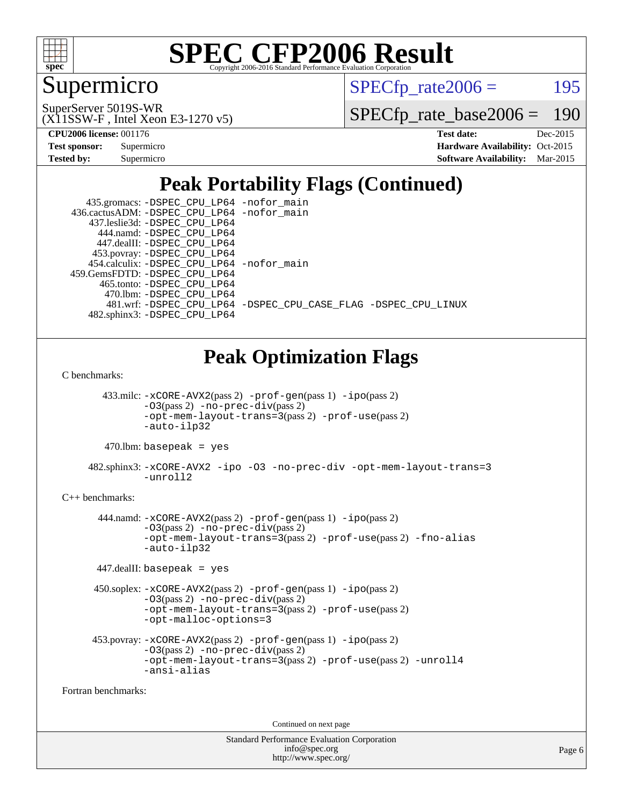

## Supermicro

 $SPECTp\_rate2006 = 195$ 

(X11SSW-F , Intel Xeon E3-1270 v5) SuperServer 5019S-WR

[SPECfp\\_rate\\_base2006 =](http://www.spec.org/auto/cpu2006/Docs/result-fields.html#SPECfpratebase2006) 190

**[CPU2006 license:](http://www.spec.org/auto/cpu2006/Docs/result-fields.html#CPU2006license)** 001176 **[Test date:](http://www.spec.org/auto/cpu2006/Docs/result-fields.html#Testdate)** Dec-2015

| <b>Test sponsor:</b> | Supermicro |
|----------------------|------------|
| <b>Tested by:</b>    | Supermicro |

**[Hardware Availability:](http://www.spec.org/auto/cpu2006/Docs/result-fields.html#HardwareAvailability)** Oct-2015 **[Software Availability:](http://www.spec.org/auto/cpu2006/Docs/result-fields.html#SoftwareAvailability)** Mar-2015

# **[Peak Portability Flags \(Continued\)](http://www.spec.org/auto/cpu2006/Docs/result-fields.html#PeakPortabilityFlags)**

| 435.gromacs: -DSPEC_CPU_LP64 -nofor_main    |                                                                |
|---------------------------------------------|----------------------------------------------------------------|
| 436.cactusADM: -DSPEC CPU LP64 -nofor main  |                                                                |
| 437.leslie3d: -DSPEC CPU LP64               |                                                                |
| 444.namd: - DSPEC CPU LP64                  |                                                                |
| 447.dealII: -DSPEC_CPU LP64                 |                                                                |
| 453.povray: -DSPEC_CPU_LP64                 |                                                                |
| 454.calculix: - DSPEC CPU LP64 - nofor main |                                                                |
| 459. GemsFDTD: - DSPEC CPU LP64             |                                                                |
| 465.tonto: -DSPEC CPU LP64                  |                                                                |
| 470.1bm: - DSPEC CPU LP64                   |                                                                |
|                                             | 481.wrf: -DSPEC CPU_LP64 -DSPEC_CPU_CASE_FLAG -DSPEC_CPU_LINUX |
| 482.sphinx3: -DSPEC CPU LP64                |                                                                |

## **[Peak Optimization Flags](http://www.spec.org/auto/cpu2006/Docs/result-fields.html#PeakOptimizationFlags)**

[C benchmarks](http://www.spec.org/auto/cpu2006/Docs/result-fields.html#Cbenchmarks):

 433.milc: [-xCORE-AVX2](http://www.spec.org/cpu2006/results/res2016q1/cpu2006-20160125-38781.flags.html#user_peakPASS2_CFLAGSPASS2_LDFLAGS433_milc_f-xAVX2_5f5fc0cbe2c9f62c816d3e45806c70d7)(pass 2) [-prof-gen](http://www.spec.org/cpu2006/results/res2016q1/cpu2006-20160125-38781.flags.html#user_peakPASS1_CFLAGSPASS1_LDFLAGS433_milc_prof_gen_e43856698f6ca7b7e442dfd80e94a8fc)(pass 1) [-ipo](http://www.spec.org/cpu2006/results/res2016q1/cpu2006-20160125-38781.flags.html#user_peakPASS2_CFLAGSPASS2_LDFLAGS433_milc_f-ipo)(pass 2) [-O3](http://www.spec.org/cpu2006/results/res2016q1/cpu2006-20160125-38781.flags.html#user_peakPASS2_CFLAGSPASS2_LDFLAGS433_milc_f-O3)(pass 2) [-no-prec-div](http://www.spec.org/cpu2006/results/res2016q1/cpu2006-20160125-38781.flags.html#user_peakPASS2_CFLAGSPASS2_LDFLAGS433_milc_f-no-prec-div)(pass 2) [-opt-mem-layout-trans=3](http://www.spec.org/cpu2006/results/res2016q1/cpu2006-20160125-38781.flags.html#user_peakPASS2_CFLAGS433_milc_f-opt-mem-layout-trans_a7b82ad4bd7abf52556d4961a2ae94d5)(pass 2) [-prof-use](http://www.spec.org/cpu2006/results/res2016q1/cpu2006-20160125-38781.flags.html#user_peakPASS2_CFLAGSPASS2_LDFLAGS433_milc_prof_use_bccf7792157ff70d64e32fe3e1250b55)(pass 2) [-auto-ilp32](http://www.spec.org/cpu2006/results/res2016q1/cpu2006-20160125-38781.flags.html#user_peakCOPTIMIZE433_milc_f-auto-ilp32)

 $470.$ lbm: basepeak = yes

 482.sphinx3: [-xCORE-AVX2](http://www.spec.org/cpu2006/results/res2016q1/cpu2006-20160125-38781.flags.html#user_peakOPTIMIZE482_sphinx3_f-xAVX2_5f5fc0cbe2c9f62c816d3e45806c70d7) [-ipo](http://www.spec.org/cpu2006/results/res2016q1/cpu2006-20160125-38781.flags.html#user_peakOPTIMIZE482_sphinx3_f-ipo) [-O3](http://www.spec.org/cpu2006/results/res2016q1/cpu2006-20160125-38781.flags.html#user_peakOPTIMIZE482_sphinx3_f-O3) [-no-prec-div](http://www.spec.org/cpu2006/results/res2016q1/cpu2006-20160125-38781.flags.html#user_peakOPTIMIZE482_sphinx3_f-no-prec-div) [-opt-mem-layout-trans=3](http://www.spec.org/cpu2006/results/res2016q1/cpu2006-20160125-38781.flags.html#user_peakOPTIMIZE482_sphinx3_f-opt-mem-layout-trans_a7b82ad4bd7abf52556d4961a2ae94d5) [-unroll2](http://www.spec.org/cpu2006/results/res2016q1/cpu2006-20160125-38781.flags.html#user_peakCOPTIMIZE482_sphinx3_f-unroll_784dae83bebfb236979b41d2422d7ec2)

#### [C++ benchmarks:](http://www.spec.org/auto/cpu2006/Docs/result-fields.html#CXXbenchmarks)

 444.namd: [-xCORE-AVX2](http://www.spec.org/cpu2006/results/res2016q1/cpu2006-20160125-38781.flags.html#user_peakPASS2_CXXFLAGSPASS2_LDFLAGS444_namd_f-xAVX2_5f5fc0cbe2c9f62c816d3e45806c70d7)(pass 2) [-prof-gen](http://www.spec.org/cpu2006/results/res2016q1/cpu2006-20160125-38781.flags.html#user_peakPASS1_CXXFLAGSPASS1_LDFLAGS444_namd_prof_gen_e43856698f6ca7b7e442dfd80e94a8fc)(pass 1) [-ipo](http://www.spec.org/cpu2006/results/res2016q1/cpu2006-20160125-38781.flags.html#user_peakPASS2_CXXFLAGSPASS2_LDFLAGS444_namd_f-ipo)(pass 2)  $-03$ (pass 2)  $-$ no-prec-div(pass 2) [-opt-mem-layout-trans=3](http://www.spec.org/cpu2006/results/res2016q1/cpu2006-20160125-38781.flags.html#user_peakPASS2_CXXFLAGS444_namd_f-opt-mem-layout-trans_a7b82ad4bd7abf52556d4961a2ae94d5)(pass 2) [-prof-use](http://www.spec.org/cpu2006/results/res2016q1/cpu2006-20160125-38781.flags.html#user_peakPASS2_CXXFLAGSPASS2_LDFLAGS444_namd_prof_use_bccf7792157ff70d64e32fe3e1250b55)(pass 2) [-fno-alias](http://www.spec.org/cpu2006/results/res2016q1/cpu2006-20160125-38781.flags.html#user_peakCXXOPTIMIZE444_namd_f-no-alias_694e77f6c5a51e658e82ccff53a9e63a) [-auto-ilp32](http://www.spec.org/cpu2006/results/res2016q1/cpu2006-20160125-38781.flags.html#user_peakCXXOPTIMIZE444_namd_f-auto-ilp32)

447.dealII: basepeak = yes

```
 450.soplex: -xCORE-AVX2(pass 2) -prof-gen(pass 1) -ipo(pass 2)
-O3(pass 2) -no-prec-div(pass 2)
-opt-mem-layout-trans=3(pass 2) -prof-use(pass 2)
-opt-malloc-options=3
```

```
 453.povray: -xCORE-AVX2(pass 2) -prof-gen(pass 1) -ipo(pass 2)
 -O3(pass 2) -no-prec-div(pass 2)
 -opt-mem-layout-trans=3(pass 2) -prof-use(pass 2) -unroll4
 -ansi-alias
```
[Fortran benchmarks](http://www.spec.org/auto/cpu2006/Docs/result-fields.html#Fortranbenchmarks):

Continued on next page